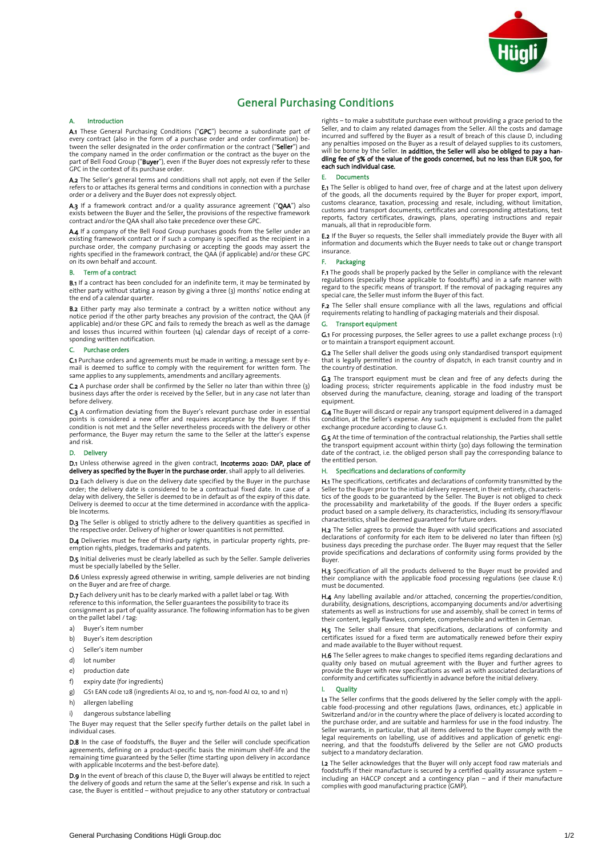

## General Purchasing Conditions

### Introduction  $\Delta$

A.1 These General Purchasing Conditions ("GPC") become a subordinate part of every contract (also in the form of a purchase order and order confirmation) be-<br>tween the seller designated in the order confirmation or the contract ("Seller") and the company named in the order confirmation or the contract as the buyer on the the company named in the company named in the contract as the contract as the contract as the part of Bell Food Group ("**Buyer**"), even if the Buyer does not expressly refer to these<br>GPC in the context of its purchase orde

A.2 The Seller's general terms and conditions shall not apply, not even if the Seller refers to or attaches its general terms and conditions in connection with a purchase order or a delivery and the Buyer does not expressly object.

A.3 If a framework contract and/or a quality assurance agreement ("QAA") also exists between the Buyer and the Seller, the provisions of the respective framework contract and/or the OAA shall also take precedence over these GPC

A.4 If a company of the Bell Food Group purchases goods from the Seller under an existing framework contract or if such a company is specified as the recipient in a purchase order, the company purchasing or accepting the goods may assert the rights specified in the framework contract the QAA (if annlicable) and/or these GPC on its own behalf and account.

### **B.** Term of a contract

B.1 If a contract has been concluded for an indefinite term, it may be terminated by either party without stating a reason by giving a three (3) months' notice ending at<br>the end of a calendar quarter

**B.2** Either party may also terminate a contract by a written notice without any B.2 Either party may also terminate a contract by a written notice minister any provision of the contract, the QAA (if applicable) and/or these GPC and fails to remedy the breach as well as the damage applicable) and/or these GPC and fails to remedy the breach as well as the damage and losses thus incurred within fourteen (14) calendar days of receipt of a corresponding written notification.

### C. Purchase orders

C.1 Purchase orders and agreements must be made in writing; a message sent by email is deemed to suffice to comply with the requirement for written form. The same applies to any supplements, amendments and ancillary agreements.

same applies to any supplements, amendments and ancillary agreements. business days after the order is received by the Seller, but in any case not later than<br>before delivery

C.3 A confirmation deviating from the Buyer's relevant purchase order in essential points is considered a new offer and requires acceptance by the Buyer. If this condition is not met and the Seller nevertheless proceeds with the delivery or other performance, the Buyer may return the same to the Seller at the latter's expense<br>and risk

### D. Delivery

### D. Delivery on once otherwise agreed in the given contract, incoeding court, place of

D.2 Each delivery is due on the delivery date specified by the Buyer in the purchase -<br>D.2 Each delivery date is considered to be a contractual fixed date. In case of a<br>delay with delivery the Seller is deemed to be in default as of the expiry of this date. Delivery is deemed to occur at the time determined in accordance with the applica-<br>ble Incoterms

D.3 The Seller is obliged to strictly adhere to the delivery quantities as specified in the respective order. Delivery of higher or lower quantities is not permitted.

D.4 Deliveries must be free of third-party rights, in particular property rights, preemption rights, pledges, trademarks and patents.

D.5 Initial deliveries must be clearly labelled as such by the Seller. Sample deliveries must be specially labelled by the Seller

**D.6** Unless expressly agreed otherwise in writing, sample deliveries are not binding D.6 Unless expressly agreed otherwise in writing, sample deliveries are not binding

D.7 Each delivery unit has to be clearly marked with a pallet label or tag. With Free the other information, the Seller guarantees the possibility to trace its<br>consignment as part of quality assurance. The following information has to be given<br>on the nallet label / tag. on the pallet label / tag:<br>a) Buyer's item number

- 
- b) Buyer's item description
- c) Seller's item number
- d) lot number
- $e)$  production date
- f) expiry date (for ingredients)
- $\frac{1}{2}$  expiring date (for ingredients) g) GS1 EAN code 128 (ingredients AI 02, 10 and 15, non-food AI 02, 10 and 11)
- 
- h) allergen labelling<br>i) dangerous substance labelling

i) dangerous substance labelling  $T_{\rm{m}}$  and  $T_{\rm{m}}$  request that the Seller specify further details on the pallet label in the palet label in

D.8 In the case of foodstuffs, the Buyer and the Seller will conclude specification agreements, defining on a product-specific basis the minimum shelf-life and the remaining time guaranteed by the Seller (time starting upon delivery in accordance with applicable incoterms and the best-before date).

with applicable Incoterms and the best-before date).  $\frac{1}{2}$  In the delivery of goods and return the same at the Seller's expense and risk. In such a the delivery of goods and return the same at the Seller's expense and risk. In such a case, the Buyer is entitled – without prejudice to any other statutory or contractual rights – to make a substitute purchase even without providing a grace period to the incurred and suffered by the Buyer as a result of breach of this clause D, including<br>any penalties imposed on the Buyer as a result of delayed supplies to its customers any penalties imposed on the Buyer as a result of delayed supplies to its customers, will be borne by the Seller. In addition, the Seller will also be obliged to pay a handling fee of 5% of the value of the goods concerned, but no less than EUR 500, for<br>each such individual case each such individual case.

E.1 The Seller is obliged to hand over, free of charge and at the latest upon delivery of the goods, all the documents required by the Buyer for proper export, import, customs clearance taxation, processing and resale including without limitation customs and transport documents, certificates and corresponding attestations, test<br>reports, factory certificates, drawings, plans, operating instructions and repair<br>manuals all that in reproducible form manuals, all that in reproducible form.

information and documents which the Buyer needs to take out or change transport insurance insurance.<br>F. Packaging

F.1 The goods shall be properly packed by the Seller in compliance with the relevant Figures shall be properly packed by the seller in compliance with the relevant regulations (especially those applicable to foodstuffs) and in a safe manner with regard to the specific means of transport. If the removal of packaging requires any special care, the Seller must inform the Buyer of this fact.

F.2 The Seller shall ensure compliance with all the laws, regulations and official requirements relating to handling of packaging materials and their disposal.

G. Transport equipment<br>G.1 For processing purposes, the Seller agrees to use a pallet exchange process (1:1) G.1 For processing purposes, the Seller agrees to the Seller agrees of the Seller agrees (1:1)

G.2 The Seller shall deliver the goods using only standardised transport equipment that is legally permitted in the country of dispatch, in each transit country and in the country of destination.

loading process; stricter requirements applicable in the food industry must be observed during the manufacture, cleaning, storage and loading of the transport equinment

equipment.<br>G.4 The Buyer will discard or repair any transport equipment delivered in a damaged Graphic discrete the Bullet's expense. Any such equipment is excluded from the pallet exchange procedure according to clause G.1.

G.5 At the time of termination of the contractual relationship, the Parties shall settle the transport equipment account within thirty (30) days following the termination date of the contract, i.e. the obliged person shall pay the corresponding balance to<br>the entitled person the entitled person.<br>
H. Specifications and declarations of conformity

H.1 The specifications, certificates and declarations of conformity transmitted by the Seller to the Buyer prior to the initial delivery represent, in their entirety, characteris-<br>tics of the goods to be guaranteed by the Seller. The Buyer is not obliged to check the processability and marketability of the goods. If the Buyer orders a specific<br>product based on a sample delivery its characteristics including its sensory/flavour product based on a sample demer, j, i.e. characteristics, including its sensory flavour characteristics, shall be deemed guaranteed for future orders.

H.2 The Seller agrees to provide the Buyer with valid specifications and associated Hecalarations of conformity for each item to be delivered no later than fifteen (15)<br>business days preceding the purchase order. The Buyer may request that the Seller provide specifications and declarations of conformity using forms provided by the Buyer

H.3 Specification of all the products delivered to the Buyer must be provided and their compliance with the applicable food processing regulations (see clause R.1)<br>must be documented must be documented.<br>H.A. Any labelling available and/or attached, concerning the properties/condition,

durability, designations, descriptions, accompanying documents and/or advertising statements as well as instructions for use and assembly, shall be correct in terms of<br>their content legally flawless complete comprehensible and written in German

H.5 The Seller shall ensure that specifications, declarations of conformity and certificates issued for a fixed term are automatically renewed before their expiry and made available to the Buyer without request.

H.6 The Seller agrees to make changes to specified items regarding declarations and quality only based on mutual agreement with the Buyer and further agrees to provide the Buyer with new specifications as well as with associated declarations of conformity and certificates sufficiently in advance before the initial delivery.<br>.

### I. Quality

 $I$  The Seller confirmed by the good seller confirms that the good seller confirmed by the seller complicable in Switzerland and/or in the country where the place of delivery is located according to<br>the purchase order, and are suitable and barmless for use in the food industry. The Seller warrants, in particular, that all items delivered to the Buyer comply with the legal requirements on labelling, use of additives and application of genetic engi-<br>neering, and that the foodstuffs delivered by the Seller are not GMO products<br>subject to a mandatory declaration

subject to a mandatory declaration. I.2 The Sendi achieve according that the Buyer this copy week the rather materials and including an HACCP concept and a contingency plan – and if their manufacture complies with good manufacturing practice (GMP) complies with good manufacturing practice (GMP).